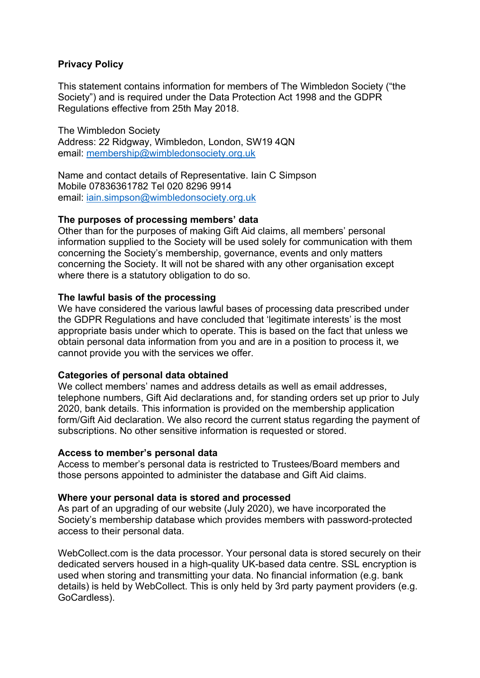# **Privacy Policy**

This statement contains information for members of The Wimbledon Society ("the Society") and is required under the Data Protection Act 1998 and the GDPR Regulations effective from 25th May 2018.

The Wimbledon Society Address: 22 Ridgway, Wimbledon, London, SW19 4QN email: membership@wimbledonsociety.org.uk

Name and contact details of Representative. Iain C Simpson Mobile 07836361782 Tel 020 8296 9914 email: iain.simpson@wimbledonsociety.org.uk

### **The purposes of processing members' data**

Other than for the purposes of making Gift Aid claims, all members' personal information supplied to the Society will be used solely for communication with them concerning the Society's membership, governance, events and only matters concerning the Society. It will not be shared with any other organisation except where there is a statutory obligation to do so.

### **The lawful basis of the processing**

We have considered the various lawful bases of processing data prescribed under the GDPR Regulations and have concluded that 'legitimate interests' is the most appropriate basis under which to operate. This is based on the fact that unless we obtain personal data information from you and are in a position to process it, we cannot provide you with the services we offer.

## **Categories of personal data obtained**

We collect members' names and address details as well as email addresses, telephone numbers, Gift Aid declarations and, for standing orders set up prior to July 2020, bank details. This information is provided on the membership application form/Gift Aid declaration. We also record the current status regarding the payment of subscriptions. No other sensitive information is requested or stored.

#### **Access to member's personal data**

Access to member's personal data is restricted to Trustees/Board members and those persons appointed to administer the database and Gift Aid claims.

#### **Where your personal data is stored and processed**

As part of an upgrading of our website (July 2020), we have incorporated the Society's membership database which provides members with password-protected access to their personal data.

WebCollect.com is the data processor. Your personal data is stored securely on their dedicated servers housed in a high-quality UK-based data centre. SSL encryption is used when storing and transmitting your data. No financial information (e.g. bank details) is held by WebCollect. This is only held by 3rd party payment providers (e.g. GoCardless).